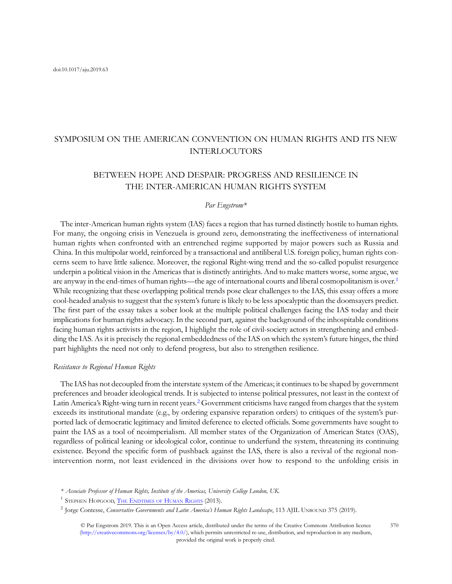# SYMPOSIUM ON THE AMERICAN CONVENTION ON HUMAN RIGHTS AND ITS NEW INTERLOCUTORS

# BETWEEN HOPE AND DESPAIR: PROGRESS AND RESILIENCE IN THE INTER-AMERICAN HUMAN RIGHTS SYSTEM

## Par Engstrom\*

The inter-American human rights system (IAS) faces a region that has turned distinctly hostile to human rights. For many, the ongoing crisis in Venezuela is ground zero, demonstrating the ineffectiveness of international human rights when confronted with an entrenched regime supported by major powers such as Russia and China. In this multipolar world, reinforced by a transactional and antiliberal U.S. foreign policy, human rights concerns seem to have little salience. Moreover, the regional Right-wing trend and the so-called populist resurgence underpin a political vision in the Americas that is distinctly antirights. And to make matters worse, some argue, we are anyway in the end-times of human rights—the age of international courts and liberal cosmopolitanism is over.<sup>1</sup> While recognizing that these overlapping political trends pose clear challenges to the IAS, this essay offers a more cool-headed analysis to suggest that the system's future is likely to be less apocalyptic than the doomsayers predict. The first part of the essay takes a sober look at the multiple political challenges facing the IAS today and their implications for human rights advocacy. In the second part, against the background of the inhospitable conditions facing human rights activists in the region, I highlight the role of civil-society actors in strengthening and embedding the IAS. As it is precisely the regional embeddedness of the IAS on which the system's future hinges, the third part highlights the need not only to defend progress, but also to strengthen resilience.

### Resistance to Regional Human Rights

The IAS has not decoupled from the interstate system of the Americas; it continues to be shaped by government preferences and broader ideological trends. It is subjected to intense political pressures, not least in the context of Latin America's Right-wing turn in recent years.<sup>2</sup> Government criticisms have ranged from charges that the system exceeds its institutional mandate (e.g., by ordering expansive reparation orders) to critiques of the system's purported lack of democratic legitimacy and limited deference to elected officials. Some governments have sought to paint the IAS as a tool of neoimperialism. All member states of the Organization of American States (OAS), regardless of political leaning or ideological color, continue to underfund the system, threatening its continuing existence. Beyond the specific form of pushback against the IAS, there is also a revival of the regional nonintervention norm, not least evidenced in the divisions over how to respond to the unfolding crisis in

<sup>\*</sup> Associate Professor of Human Rights, Institute of the Americas, University College London, UK.

<sup>&</sup>lt;sup>1</sup> STEPHEN HOPGOOD, THE [ENDTIMES OF](https://www.jstor.org/stable/10.7591/j.ctt32b4hw) HUMAN RIGHTS (2013).

<sup>&</sup>lt;sup>2</sup> Jorge Contesse, Conservative Governments and Latin America's Human Rights Landscape, 113 AJIL UNBOUND 375 (2019).

<sup>©</sup> Par Engstrom 2019. This is an Open Access article, distributed under the terms of the Creative Commons Attribution licence [\(http://creativecommons.org/licenses/by/4.0/](http://creativecommons.org/licenses/by/4.0/)), which permits unrestricted re-use, distribution, and reproduction in any medium, provided the original work is properly cited.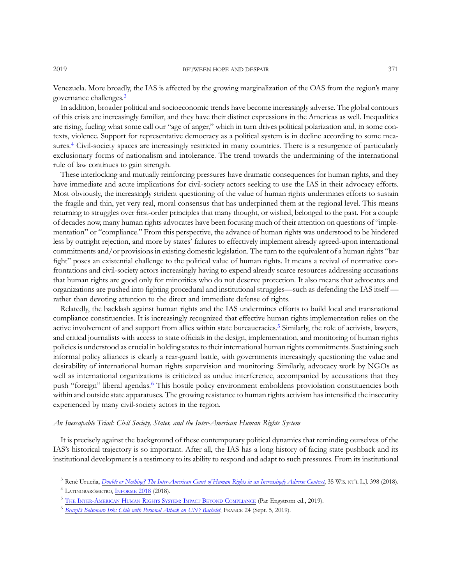Venezuela. More broadly, the IAS is affected by the growing marginalization of the OAS from the region's many governance challenges.3

In addition, broader political and socioeconomic trends have become increasingly adverse. The global contours of this crisis are increasingly familiar, and they have their distinct expressions in the Americas as well. Inequalities are rising, fueling what some call our "age of anger," which in turn drives political polarization and, in some contexts, violence. Support for representative democracy as a political system is in decline according to some measures.<sup>4</sup> Civil-society spaces are increasingly restricted in many countries. There is a resurgence of particularly exclusionary forms of nationalism and intolerance. The trend towards the undermining of the international rule of law continues to gain strength.

These interlocking and mutually reinforcing pressures have dramatic consequences for human rights, and they have immediate and acute implications for civil-society actors seeking to use the IAS in their advocacy efforts. Most obviously, the increasingly strident questioning of the value of human rights undermines efforts to sustain the fragile and thin, yet very real, moral consensus that has underpinned them at the regional level. This means returning to struggles over first-order principles that many thought, or wished, belonged to the past. For a couple of decades now, many human rights advocates have been focusing much of their attention on questions of "implementation" or "compliance." From this perspective, the advance of human rights was understood to be hindered less by outright rejection, and more by states' failures to effectively implement already agreed-upon international commitments and/or provisions in existing domestic legislation. The turn to the equivalent of a human rights "bar fight" poses an existential challenge to the political value of human rights. It means a revival of normative confrontations and civil-society actors increasingly having to expend already scarce resources addressing accusations that human rights are good only for minorities who do not deserve protection. It also means that advocates and organizations are pushed into fighting procedural and institutional struggles—such as defending the IAS itself rather than devoting attention to the direct and immediate defense of rights.

Relatedly, the backlash against human rights and the IAS undermines efforts to build local and transnational compliance constituencies. It is increasingly recognized that effective human rights implementation relies on the active involvement of and support from allies within state bureaucracies.<sup>5</sup> Similarly, the role of activists, lawyers, and critical journalists with access to state officials in the design, implementation, and monitoring of human rights policies is understood as crucial in holding states to their international human rights commitments. Sustaining such informal policy alliances is clearly a rear-guard battle, with governments increasingly questioning the value and desirability of international human rights supervision and monitoring. Similarly, advocacy work by NGOs as well as international organizations is criticized as undue interference, accompanied by accusations that they push "foreign" liberal agendas.<sup>6</sup> This hostile policy environment emboldens proviolation constituencies both within and outside state apparatuses. The growing resistance to human rights activism has intensified the insecurity experienced by many civil-society actors in the region.

## An Inescapable Triad: Civil Society, States, and the Inter-American Human Rights System

It is precisely against the background of these contemporary political dynamics that reminding ourselves of the IAS's historical trajectory is so important. After all, the IAS has a long history of facing state pushback and its institutional development is a testimony to its ability to respond and adapt to such pressures. From its institutional

<sup>&</sup>lt;sup>3</sup> René Urueña, *[Double or Nothing? The Inter-American Court of Human Rights in an Increasingly Adverse Context](http://hosted.law.wisc.edu/wordpress/wilj/files/2018/10/Uruena_Final.pdf)*, 35 WIS. NT'L L.J. 398 (2018).

<sup>4</sup> LATINOBARÓMETRO, [INFORME](http://www.latinobarometro.org/lat.jsp) [2018](http://www.latinobarometro.org/lat.jsp) (2018).

<sup>5</sup> THE [INTER-AMERICAN](https://www.palgrave.com/gp/book/9783319894584) HUMAN RIGHTS SYSTEM: IMPACT BEYOND COMPLIANCE (Par Engstrom ed., 2019).

<sup>&</sup>lt;sup>6</sup> Brazil'[s Bolsonaro Irks Chile with Personal Attack on UN](https://www.france24.com/en/20190905-brazil-bolsonaro-chile-bachelet)'s Bachelet, FRANCE 24 (Sept. 5, 2019).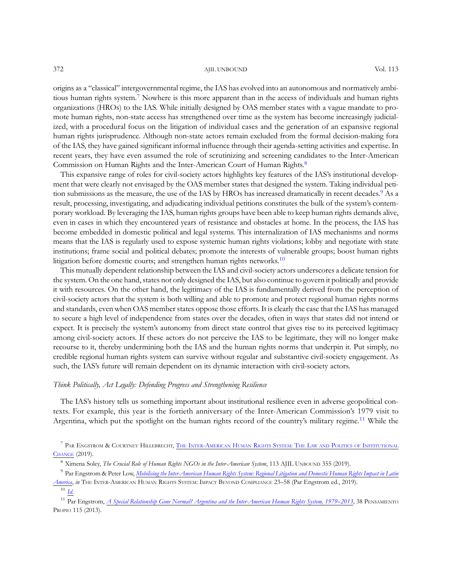### 372 AJIL UNBOUND Vol. 113

origins as a "classical" intergovernmental regime, the IAS has evolved into an autonomous and normatively ambitious human rights system.<sup>7</sup> Nowhere is this more apparent than in the access of individuals and human rights organizations (HROs) to the IAS. While initially designed by OAS member states with a vague mandate to promote human rights, non-state access has strengthened over time as the system has become increasingly judicialized, with a procedural focus on the litigation of individual cases and the generation of an expansive regional human rights jurisprudence. Although non-state actors remain excluded from the formal decision-making fora of the IAS, they have gained significant informal influence through their agenda-setting activities and expertise. In recent years, they have even assumed the role of scrutinizing and screening candidates to the Inter-American Commission on Human Rights and the Inter-American Court of Human Rights.<sup>8</sup>

This expansive range of roles for civil-society actors highlights key features of the IAS's institutional development that were clearly not envisaged by the OAS member states that designed the system. Taking individual petition submissions as the measure, the use of the IAS by HROs has increased dramatically in recent decades.<sup>9</sup> As a result, processing, investigating, and adjudicating individual petitions constitutes the bulk of the system's contemporary workload. By leveraging the IAS, human rights groups have been able to keep human rights demands alive, even in cases in which they encountered years of resistance and obstacles at home. In the process, the IAS has become embedded in domestic political and legal systems. This internalization of IAS mechanisms and norms means that the IAS is regularly used to expose systemic human rights violations; lobby and negotiate with state institutions; frame social and political debates; promote the interests of vulnerable groups; boost human rights litigation before domestic courts; and strengthen human rights networks.<sup>10</sup>

This mutually dependent relationship between the IAS and civil-society actors underscores a delicate tension for the system. On the one hand, states not only designed the IAS, but also continue to govern it politically and provide it with resources. On the other hand, the legitimacy of the IAS is fundamentally derived from the perception of civil-society actors that the system is both willing and able to promote and protect regional human rights norms and standards, even when OAS member states oppose those efforts. It is clearly the case that the IAS has managed to secure a high level of independence from states over the decades, often in ways that states did not intend or expect. It is precisely the system's autonomy from direct state control that gives rise to its perceived legitimacy among civil-society actors. If these actors do not perceive the IAS to be legitimate, they will no longer make recourse to it, thereby undermining both the IAS and the human rights norms that underpin it. Put simply, no credible regional human rights system can survive without regular and substantive civil-society engagement. As such, the IAS's future will remain dependent on its dynamic interaction with civil-society actors.

## Think Politically, Act Legally: Defending Progress and Strengthening Resilience

The IAS's history tells us something important about institutional resilience even in adverse geopolitical contexts. For example, this year is the fortieth anniversary of the Inter-American Commission's 1979 visit to Argentina, which put the spotlight on the human rights record of the country's military regime.<sup>11</sup> While the

<sup>7</sup> PAR ENGSTROM & COURTNEY HILLEBRECHT, THE [INTER-AMERICAN](https://www.routledge.com/The-Inter-American-Human-Rights-System-The-Law-and-Politics-of-Institutional/Engstrom-Hillebrecht/p/book/9780367236861) HUMAN RIGHTS SYSTEM: THE LAW AND POLITICS OF INSTITUTIONAL [CHANGE](https://www.routledge.com/The-Inter-American-Human-Rights-System-The-Law-and-Politics-of-Institutional/Engstrom-Hillebrecht/p/book/9780367236861) (2019).

<sup>9</sup> Par Engstrom & Peter Low, [Mobilising the Inter-American Human Rights System: Regional Litigation and Domestic Human Rights Impact in Latin](https://link.springer.com/chapter/10.1007/978-3-319-89459-1_2) [America](https://link.springer.com/chapter/10.1007/978-3-319-89459-1_2), in THE INTER-AMERICAN HUMAN RIGHTS SYSTEM: IMPACT BEYOND COMPLIANCE 23-58 (Par Engstrom ed., 2019).

 $10$  [Id.](https://link.springer.com/chapter/10.1007/978-3-319-89459-1_2)

<sup>11</sup> Par Engstrom, [A Special Relationship Gone Normal? Argentina and the Inter-American Human Rights System, 1979](https://www.researchgate.net/publication/309721721_A_Special_Relationship_Gone_Normal_Argentina_and_the_Inter-American_Human_Rights_System_1979-2013)–2013, 38 PENSAMIENTO PROPIO 115 (2013).

<sup>&</sup>lt;sup>8</sup> Ximena Soley, The Crucial Role of Human Rights NGOs in the Inter-American System, 113 AJIL UNBOUND 355 (2019).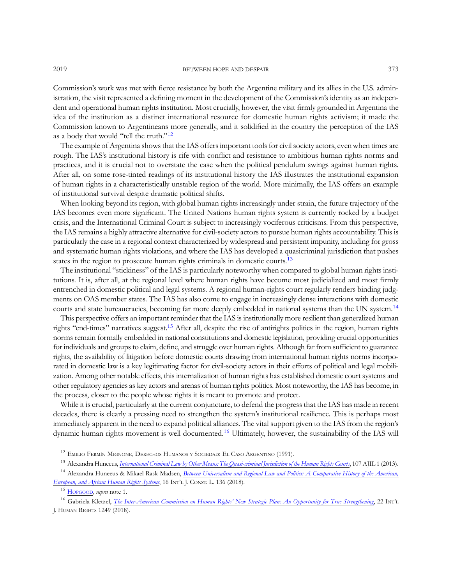Commission's work was met with fierce resistance by both the Argentine military and its allies in the U.S. administration, the visit represented a defining moment in the development of the Commission's identity as an independent and operational human rights institution. Most crucially, however, the visit firmly grounded in Argentina the idea of the institution as a distinct international resource for domestic human rights activism; it made the Commission known to Argentineans more generally, and it solidified in the country the perception of the IAS as a body that would "tell the truth."<sup>12</sup>

The example of Argentina shows that the IAS offers important tools for civil society actors, even when times are rough. The IAS's institutional history is rife with conflict and resistance to ambitious human rights norms and practices, and it is crucial not to overstate the case when the political pendulum swings against human rights. After all, on some rose-tinted readings of its institutional history the IAS illustrates the institutional expansion of human rights in a characteristically unstable region of the world. More minimally, the IAS offers an example of institutional survival despite dramatic political shifts.

When looking beyond its region, with global human rights increasingly under strain, the future trajectory of the IAS becomes even more significant. The United Nations human rights system is currently rocked by a budget crisis, and the International Criminal Court is subject to increasingly vociferous criticisms. From this perspective, the IAS remains a highly attractive alternative for civil-society actors to pursue human rights accountability. This is particularly the case in a regional context characterized by widespread and persistent impunity, including for gross and systematic human rights violations, and where the IAS has developed a quasicriminal jurisdiction that pushes states in the region to prosecute human rights criminals in domestic courts.<sup>13</sup>

The institutional "stickiness" of the IAS is particularly noteworthy when compared to global human rights institutions. It is, after all, at the regional level where human rights have become most judicialized and most firmly entrenched in domestic political and legal systems. A regional human-rights court regularly renders binding judgments on OAS member states. The IAS has also come to engage in increasingly dense interactions with domestic courts and state bureaucracies, becoming far more deeply embedded in national systems than the UN system.<sup>14</sup>

This perspective offers an important reminder that the IAS is institutionally more resilient than generalized human rights "end-times" narratives suggest.15 After all, despite the rise of antirights politics in the region, human rights norms remain formally embedded in national constitutions and domestic legislation, providing crucial opportunities for individuals and groups to claim, define, and struggle over human rights. Although far from sufficient to guarantee rights, the availability of litigation before domestic courts drawing from international human rights norms incorporated in domestic law is a key legitimating factor for civil-society actors in their efforts of political and legal mobilization. Among other notable effects, this internalization of human rights has established domestic court systems and other regulatory agencies as key actors and arenas of human rights politics. Most noteworthy, the IAS has become, in the process, closer to the people whose rights it is meant to promote and protect.

While it is crucial, particularly at the current conjuncture, to defend the progress that the IAS has made in recent decades, there is clearly a pressing need to strengthen the system's institutional resilience. This is perhaps most immediately apparent in the need to expand political alliances. The vital support given to the IAS from the region's dynamic human rights movement is well documented.<sup>16</sup> Ultimately, however, the sustainability of the IAS will

<sup>12</sup> EMILIO FERMÍN MIGNONE, DERECHOS HUMANOS Y SOCIEDAD: EL CASO ARGENTINO (1991).

<sup>13</sup> Alexandra Huneeus, *[International Criminal Law by Other Means: The Quasi-criminal Jurisdiction of the Human Rights Courts](https://www.cambridge.org/core/journals/american-journal-of-international-law/article/international-criminal-law-by-other-means-the-quasicriminal-jurisdiction-of-the-human-rights-courts/20181D7880B63E77A281CC22EDFB2680)*, 107 AJIL 1 (2013).

<sup>14</sup> Alexandra Huneeus & Mikael Rask Madsen, [Between Universalism and Regional Law and Politics: A Comparative History of the American,](https://academic.oup.com/icon/article/16/1/136/4995560) [European, and African Human Rights Systems](https://academic.oup.com/icon/article/16/1/136/4995560), 16 INT'L J. CONST. L. 136 (2018).

<sup>15</sup> [HOPGOOD,](https://www.jstor.org/stable/10.7591/j.ctt32b4hw) *supra* note 1.

<sup>16</sup> Gabriela Kletzel, *The Inter-American Commission on Human Rights' [New Strategic Plan: An Opportunity for True Strengthening](https://www.tandfonline.com/doi/abs/10.1080/13642987.2016.1268772)*, 22 INT'L J. HUMAN RIGHTS 1249 (2018).